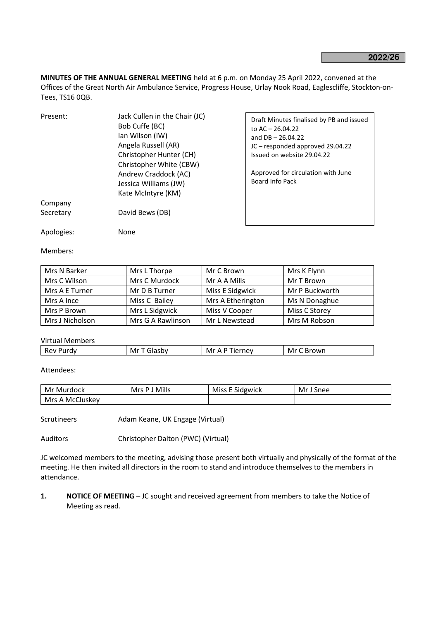**MINUTES OF THE ANNUAL GENERAL MEETING** held at 6 p.m. on Monday 25 April 2022, convened at the Offices of the Great North Air Ambulance Service, Progress House, Urlay Nook Road, Eaglescliffe, Stockton-on-Tees, TS16 0QB.

| Present:   | Jack Cullen in the Chair (JC)<br>Bob Cuffe (BC)<br>Ian Wilson (IW)<br>Angela Russell (AR)<br>Christopher Hunter (CH)<br>Christopher White (CBW)<br>Andrew Craddock (AC)<br>Jessica Williams (JW)<br>Kate McIntyre (KM) | Draft Minutes finalised by PB and issued<br>to $AC - 26.04.22$<br>and $DB - 26.04.22$<br>JC - responded approved 29.04.22<br>Issued on website 29.04.22<br>Approved for circulation with June<br>Board Info Pack |
|------------|------------------------------------------------------------------------------------------------------------------------------------------------------------------------------------------------------------------------|------------------------------------------------------------------------------------------------------------------------------------------------------------------------------------------------------------------|
| Company    |                                                                                                                                                                                                                        |                                                                                                                                                                                                                  |
| Secretary  | David Bews (DB)                                                                                                                                                                                                        |                                                                                                                                                                                                                  |
| Apologies: | None                                                                                                                                                                                                                   |                                                                                                                                                                                                                  |

Members:

| Mrs N Barker    | Mrs L Thorpe      | Mr C Brown        | Mrs K Flynn    |  |
|-----------------|-------------------|-------------------|----------------|--|
| Mrs C Wilson    | Mrs C Murdock     | Mr A A Mills      | Mr T Brown     |  |
| Mrs A E Turner  | Mr D B Turner     | Miss E Sidgwick   | Mr P Buckworth |  |
| Mrs A Ince      | Miss C Bailey     | Mrs A Etherington | Ms N Donaghue  |  |
| Mrs P Brown     | Mrs L Sidgwick    | Miss V Cooper     | Miss C Storey  |  |
| Mrs J Nicholson | Mrs G A Rawlinson | Mr L Newstead     | Mrs M Robson   |  |

Virtual Members

| Rev |
|-----|
|-----|

Attendees:

| Mr<br>: Murdock | Mrs P J Mills | Miss E Sidgwick | Mr J<br>Snee |
|-----------------|---------------|-----------------|--------------|
| Mrs A McCluskey |               |                 |              |

Scrutineers **Adam Keane, UK Engage (Virtual)** 

Auditors Christopher Dalton (PWC) (Virtual)

JC welcomed members to the meeting, advising those present both virtually and physically of the format of the meeting. He then invited all directors in the room to stand and introduce themselves to the members in attendance.

**1. NOTICE OF MEETING** – JC sought and received agreement from members to take the Notice of Meeting as read.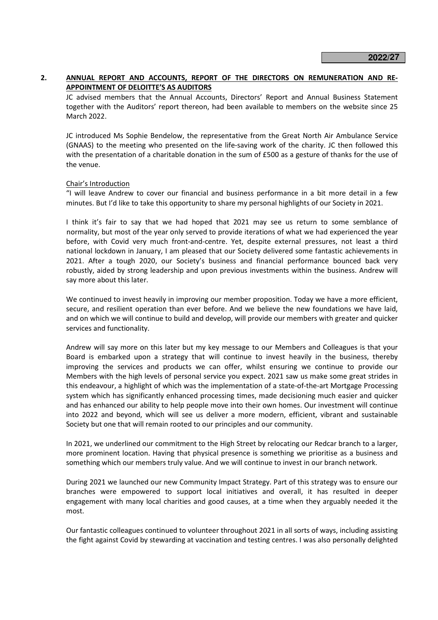# **2. ANNUAL REPORT AND ACCOUNTS, REPORT OF THE DIRECTORS ON REMUNERATION AND RE-APPOINTMENT OF DELOITTE'S AS AUDITORS**

 JC advised members that the Annual Accounts, Directors' Report and Annual Business Statement together with the Auditors' report thereon, had been available to members on the website since 25 March 2022.

 JC introduced Ms Sophie Bendelow, the representative from the Great North Air Ambulance Service (GNAAS) to the meeting who presented on the life-saving work of the charity. JC then followed this with the presentation of a charitable donation in the sum of £500 as a gesture of thanks for the use of the venue.

# Chair's Introduction

 "I will leave Andrew to cover our financial and business performance in a bit more detail in a few minutes. But I'd like to take this opportunity to share my personal highlights of our Society in 2021.

I think it's fair to say that we had hoped that 2021 may see us return to some semblance of normality, but most of the year only served to provide iterations of what we had experienced the year before, with Covid very much front-and-centre. Yet, despite external pressures, not least a third national lockdown in January, I am pleased that our Society delivered some fantastic achievements in 2021. After a tough 2020, our Society's business and financial performance bounced back very robustly, aided by strong leadership and upon previous investments within the business. Andrew will say more about this later.

We continued to invest heavily in improving our member proposition. Today we have a more efficient, secure, and resilient operation than ever before. And we believe the new foundations we have laid, and on which we will continue to build and develop, will provide our members with greater and quicker services and functionality.

Andrew will say more on this later but my key message to our Members and Colleagues is that your Board is embarked upon a strategy that will continue to invest heavily in the business, thereby improving the services and products we can offer, whilst ensuring we continue to provide our Members with the high levels of personal service you expect. 2021 saw us make some great strides in this endeavour, a highlight of which was the implementation of a state-of-the-art Mortgage Processing system which has significantly enhanced processing times, made decisioning much easier and quicker and has enhanced our ability to help people move into their own homes. Our investment will continue into 2022 and beyond, which will see us deliver a more modern, efficient, vibrant and sustainable Society but one that will remain rooted to our principles and our community.

In 2021, we underlined our commitment to the High Street by relocating our Redcar branch to a larger, more prominent location. Having that physical presence is something we prioritise as a business and something which our members truly value. And we will continue to invest in our branch network.

During 2021 we launched our new Community Impact Strategy. Part of this strategy was to ensure our branches were empowered to support local initiatives and overall, it has resulted in deeper engagement with many local charities and good causes, at a time when they arguably needed it the most.

Our fantastic colleagues continued to volunteer throughout 2021 in all sorts of ways, including assisting the fight against Covid by stewarding at vaccination and testing centres. I was also personally delighted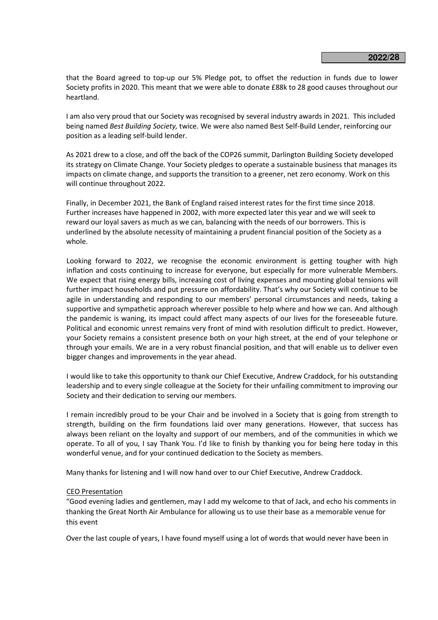that the Board agreed to top-up our 5% Pledge pot, to offset the reduction in funds due to lower Society profits in 2020. This meant that we were able to donate £88k to 28 good causes throughout our heartland.

I am also very proud that our Society was recognised by several industry awards in 2021. This included being named *Best Building Society,* twice. We were also named Best Self-Build Lender, reinforcing our position as a leading self-build lender.

As 2021 drew to a close, and off the back of the COP26 summit, Darlington Building Society developed its strategy on Climate Change. Your Society pledges to operate a sustainable business that manages its impacts on climate change, and supports the transition to a greener, net zero economy. Work on this will continue throughout 2022.

Finally, in December 2021, the Bank of England raised interest rates for the first time since 2018. Further increases have happened in 2002, with more expected later this year and we will seek to reward our loyal savers as much as we can, balancing with the needs of our borrowers. This is underlined by the absolute necessity of maintaining a prudent financial position of the Society as a whole.

Looking forward to 2022, we recognise the economic environment is getting tougher with high inflation and costs continuing to increase for everyone, but especially for more vulnerable Members. We expect that rising energy bills, increasing cost of living expenses and mounting global tensions will further impact households and put pressure on affordability. That's why our Society will continue to be agile in understanding and responding to our members' personal circumstances and needs, taking a supportive and sympathetic approach wherever possible to help where and how we can. And although the pandemic is waning, its impact could affect many aspects of our lives for the foreseeable future. Political and economic unrest remains very front of mind with resolution difficult to predict. However, your Society remains a consistent presence both on your high street, at the end of your telephone or through your emails. We are in a very robust financial position, and that will enable us to deliver even bigger changes and improvements in the year ahead.

I would like to take this opportunity to thank our Chief Executive, Andrew Craddock, for his outstanding leadership and to every single colleague at the Society for their unfailing commitment to improving our Society and their dedication to serving our members.

I remain incredibly proud to be your Chair and be involved in a Society that is going from strength to strength, building on the firm foundations laid over many generations. However, that success has always been reliant on the loyalty and support of our members, and of the communities in which we operate. To all of you, I say Thank You. I'd like to finish by thanking you for being here today in this wonderful venue, and for your continued dedication to the Society as members.

Many thanks for listening and I will now hand over to our Chief Executive, Andrew Craddock.

## CEO Presentation

"Good evening ladies and gentlemen, may I add my welcome to that of Jack, and echo his comments in thanking the Great North Air Ambulance for allowing us to use their base as a memorable venue for this event

Over the last couple of years, I have found myself using a lot of words that would never have been in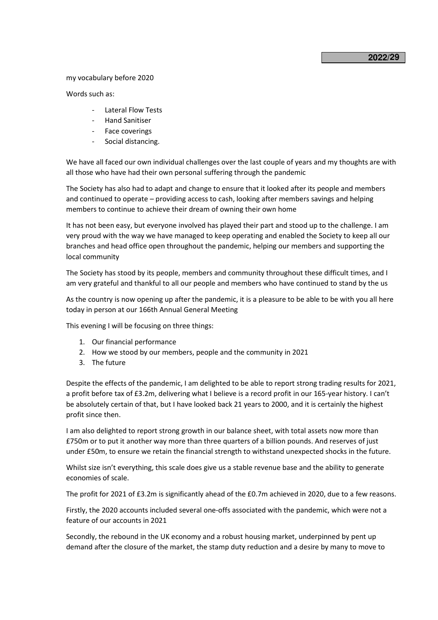## **2022/ 29**

#### my vocabulary before 2020

Words such as:

- Lateral Flow Tests
- Hand Sanitiser
- Face coverings
- Social distancing.

We have all faced our own individual challenges over the last couple of years and my thoughts are with all those who have had their own personal suffering through the pandemic

The Society has also had to adapt and change to ensure that it looked after its people and members and continued to operate – providing access to cash, looking after members savings and helping members to continue to achieve their dream of owning their own home

It has not been easy, but everyone involved has played their part and stood up to the challenge. I am very proud with the way we have managed to keep operating and enabled the Society to keep all our branches and head office open throughout the pandemic, helping our members and supporting the local community

The Society has stood by its people, members and community throughout these difficult times, and I am very grateful and thankful to all our people and members who have continued to stand by the us

As the country is now opening up after the pandemic, it is a pleasure to be able to be with you all here today in person at our 166th Annual General Meeting

This evening I will be focusing on three things:

- 1. Our financial performance
- 2. How we stood by our members, people and the community in 2021
- 3. The future

Despite the effects of the pandemic, I am delighted to be able to report strong trading results for 2021, a profit before tax of £3.2m, delivering what I believe is a record profit in our 165-year history. I can't be absolutely certain of that, but I have looked back 21 years to 2000, and it is certainly the highest profit since then.

I am also delighted to report strong growth in our balance sheet, with total assets now more than £750m or to put it another way more than three quarters of a billion pounds. And reserves of just under £50m, to ensure we retain the financial strength to withstand unexpected shocks in the future.

Whilst size isn't everything, this scale does give us a stable revenue base and the ability to generate economies of scale.

The profit for 2021 of £3.2m is significantly ahead of the £0.7m achieved in 2020, due to a few reasons.

Firstly, the 2020 accounts included several one-offs associated with the pandemic, which were not a feature of our accounts in 2021

Secondly, the rebound in the UK economy and a robust housing market, underpinned by pent up demand after the closure of the market, the stamp duty reduction and a desire by many to move to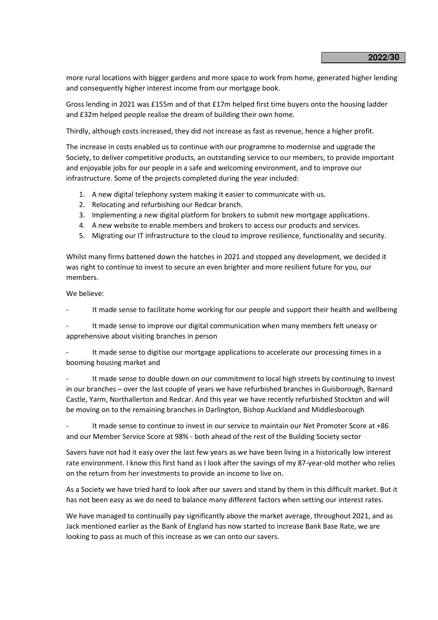more rural locations with bigger gardens and more space to work from home, generated higher lending and consequently higher interest income from our mortgage book.

Gross lending in 2021 was £155m and of that £17m helped first time buyers onto the housing ladder and £32m helped people realise the dream of building their own home.

Thirdly, although costs increased, they did not increase as fast as revenue, hence a higher profit.

The increase in costs enabled us to continue with our programme to modernise and upgrade the Society, to deliver competitive products, an outstanding service to our members, to provide important and enjoyable jobs for our people in a safe and welcoming environment, and to improve our infrastructure. Some of the projects completed during the year included:

- 1. A new digital telephony system making it easier to communicate with us.
- 2. Relocating and refurbishing our Redcar branch.
- 3. Implementing a new digital platform for brokers to submit new mortgage applications.
- 4. A new website to enable members and brokers to access our products and services.
- 5. Migrating our IT infrastructure to the cloud to improve resilience, functionality and security.

Whilst many firms battened down the hatches in 2021 and stopped any development, we decided it was right to continue to invest to secure an even brighter and more resilient future for you, our members.

We believe:

It made sense to facilitate home working for our people and support their health and wellbeing

It made sense to improve our digital communication when many members felt uneasy or apprehensive about visiting branches in person

It made sense to digitise our mortgage applications to accelerate our processing times in a booming housing market and

It made sense to double down on our commitment to local high streets by continuing to invest in our branches – over the last couple of years we have refurbished branches in Guisborough, Barnard Castle, Yarm, Northallerton and Redcar. And this year we have recently refurbished Stockton and will be moving on to the remaining branches in Darlington, Bishop Auckland and Middlesborough

It made sense to continue to invest in our service to maintain our Net Promoter Score at +86 and our Member Service Score at 98% - both ahead of the rest of the Building Society sector

Savers have not had it easy over the last few years as we have been living in a historically low interest rate environment. I know this first hand as I look after the savings of my 87-year-old mother who relies on the return from her investments to provide an income to live on.

As a Society we have tried hard to look after our savers and stand by them in this difficult market. But it has not been easy as we do need to balance many different factors when setting our interest rates.

We have managed to continually pay significantly above the market average, throughout 2021, and as Jack mentioned earlier as the Bank of England has now started to increase Bank Base Rate, we are looking to pass as much of this increase as we can onto our savers.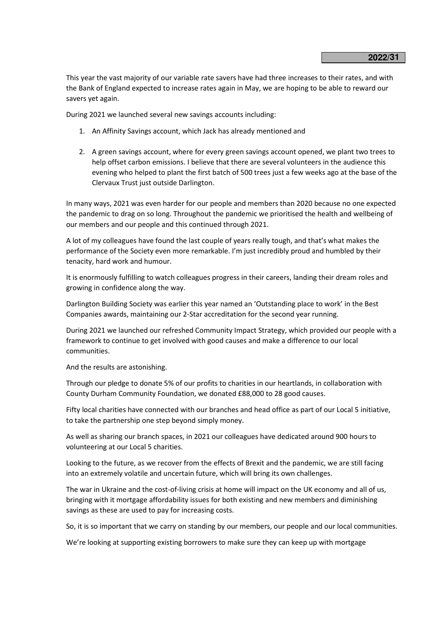This year the vast majority of our variable rate savers have had three increases to their rates, and with the Bank of England expected to increase rates again in May, we are hoping to be able to reward our savers yet again.

During 2021 we launched several new savings accounts including:

- 1. An Affinity Savings account, which Jack has already mentioned and
- 2. A green savings account, where for every green savings account opened, we plant two trees to help offset carbon emissions. I believe that there are several volunteers in the audience this evening who helped to plant the first batch of 500 trees just a few weeks ago at the base of the Clervaux Trust just outside Darlington.

In many ways, 2021 was even harder for our people and members than 2020 because no one expected the pandemic to drag on so long. Throughout the pandemic we prioritised the health and wellbeing of our members and our people and this continued through 2021.

A lot of my colleagues have found the last couple of years really tough, and that's what makes the performance of the Society even more remarkable. I'm just incredibly proud and humbled by their tenacity, hard work and humour.

It is enormously fulfilling to watch colleagues progress in their careers, landing their dream roles and growing in confidence along the way.

Darlington Building Society was earlier this year named an 'Outstanding place to work' in the Best Companies awards, maintaining our 2-Star accreditation for the second year running.

During 2021 we launched our refreshed Community Impact Strategy, which provided our people with a framework to continue to get involved with good causes and make a difference to our local communities.

And the results are astonishing.

Through our pledge to donate 5% of our profits to charities in our heartlands, in collaboration with County Durham Community Foundation, we donated £88,000 to 28 good causes.

Fifty local charities have connected with our branches and head office as part of our Local 5 initiative, to take the partnership one step beyond simply money.

As well as sharing our branch spaces, in 2021 our colleagues have dedicated around 900 hours to volunteering at our Local 5 charities.

Looking to the future, as we recover from the effects of Brexit and the pandemic, we are still facing into an extremely volatile and uncertain future, which will bring its own challenges.

The war in Ukraine and the cost-of-living crisis at home will impact on the UK economy and all of us, bringing with it mortgage affordability issues for both existing and new members and diminishing savings as these are used to pay for increasing costs.

So, it is so important that we carry on standing by our members, our people and our local communities.

We're looking at supporting existing borrowers to make sure they can keep up with mortgage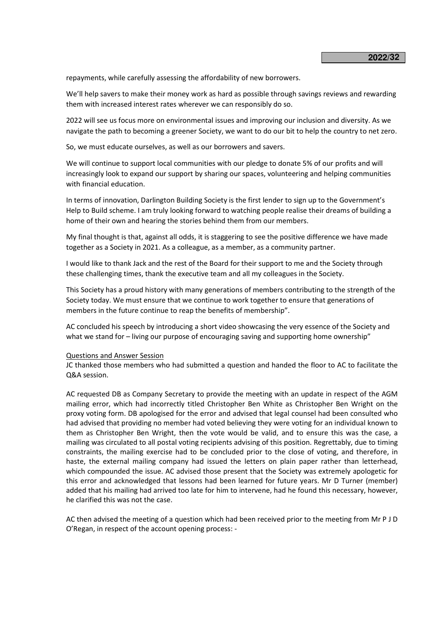repayments, while carefully assessing the affordability of new borrowers.

We'll help savers to make their money work as hard as possible through savings reviews and rewarding them with increased interest rates wherever we can responsibly do so.

2022 will see us focus more on environmental issues and improving our inclusion and diversity. As we navigate the path to becoming a greener Society, we want to do our bit to help the country to net zero.

So, we must educate ourselves, as well as our borrowers and savers.

We will continue to support local communities with our pledge to donate 5% of our profits and will increasingly look to expand our support by sharing our spaces, volunteering and helping communities with financial education.

In terms of innovation, Darlington Building Society is the first lender to sign up to the Government's Help to Build scheme. I am truly looking forward to watching people realise their dreams of building a home of their own and hearing the stories behind them from our members.

My final thought is that, against all odds, it is staggering to see the positive difference we have made together as a Society in 2021. As a colleague, as a member, as a community partner.

I would like to thank Jack and the rest of the Board for their support to me and the Society through these challenging times, thank the executive team and all my colleagues in the Society.

This Society has a proud history with many generations of members contributing to the strength of the Society today. We must ensure that we continue to work together to ensure that generations of members in the future continue to reap the benefits of membership".

AC concluded his speech by introducing a short video showcasing the very essence of the Society and what we stand for – living our purpose of encouraging saving and supporting home ownership"

#### Questions and Answer Session

 JC thanked those members who had submitted a question and handed the floor to AC to facilitate the Q&A session.

AC requested DB as Company Secretary to provide the meeting with an update in respect of the AGM mailing error, which had incorrectly titled Christopher Ben White as Christopher Ben Wright on the proxy voting form. DB apologised for the error and advised that legal counsel had been consulted who had advised that providing no member had voted believing they were voting for an individual known to them as Christopher Ben Wright, then the vote would be valid, and to ensure this was the case, a mailing was circulated to all postal voting recipients advising of this position. Regrettably, due to timing constraints, the mailing exercise had to be concluded prior to the close of voting, and therefore, in haste, the external mailing company had issued the letters on plain paper rather than letterhead, which compounded the issue. AC advised those present that the Society was extremely apologetic for this error and acknowledged that lessons had been learned for future years. Mr D Turner (member) added that his mailing had arrived too late for him to intervene, had he found this necessary, however, he clarified this was not the case.

 AC then advised the meeting of a question which had been received prior to the meeting from Mr P J D O'Regan, in respect of the account opening process: -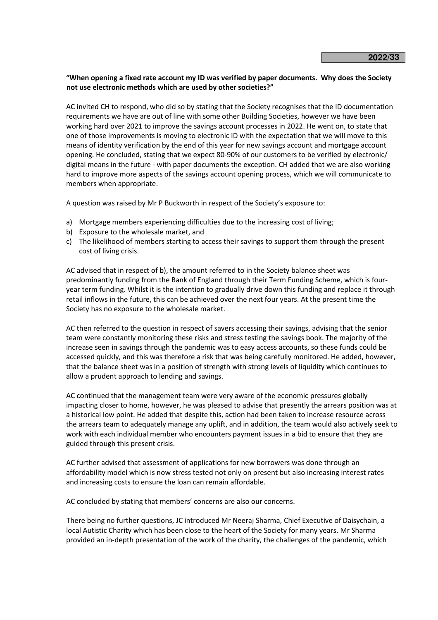# **"When opening a fixed rate account my ID was verified by paper documents. Why does the Society not use electronic methods which are used by other societies?"**

 AC invited CH to respond, who did so by stating that the Society recognises that the ID documentation requirements we have are out of line with some other Building Societies, however we have been working hard over 2021 to improve the savings account processes in 2022. He went on, to state that one of those improvements is moving to electronic ID with the expectation that we will move to this means of identity verification by the end of this year for new savings account and mortgage account opening. He concluded, stating that we expect 80-90% of our customers to be verified by electronic/ digital means in the future - with paper documents the exception. CH added that we are also working hard to improve more aspects of the savings account opening process, which we will communicate to members when appropriate.

A question was raised by Mr P Buckworth in respect of the Society's exposure to:

- a) Mortgage members experiencing difficulties due to the increasing cost of living;
- b) Exposure to the wholesale market, and
- c) The likelihood of members starting to access their savings to support them through the present cost of living crisis.

 AC advised that in respect of b), the amount referred to in the Society balance sheet was predominantly funding from the Bank of England through their Term Funding Scheme, which is fouryear term funding. Whilst it is the intention to gradually drive down this funding and replace it through retail inflows in the future, this can be achieved over the next four years. At the present time the Society has no exposure to the wholesale market.

 AC then referred to the question in respect of savers accessing their savings, advising that the senior team were constantly monitoring these risks and stress testing the savings book. The majority of the increase seen in savings through the pandemic was to easy access accounts, so these funds could be accessed quickly, and this was therefore a risk that was being carefully monitored. He added, however, that the balance sheet was in a position of strength with strong levels of liquidity which continues to allow a prudent approach to lending and savings.

 AC continued that the management team were very aware of the economic pressures globally impacting closer to home, however, he was pleased to advise that presently the arrears position was at a historical low point. He added that despite this, action had been taken to increase resource across the arrears team to adequately manage any uplift, and in addition, the team would also actively seek to work with each individual member who encounters payment issues in a bid to ensure that they are guided through this present crisis.

 AC further advised that assessment of applications for new borrowers was done through an affordability model which is now stress tested not only on present but also increasing interest rates and increasing costs to ensure the loan can remain affordable.

AC concluded by stating that members' concerns are also our concerns.

There being no further questions, JC introduced Mr Neeraj Sharma, Chief Executive of Daisychain, a local Autistic Charity which has been close to the heart of the Society for many years. Mr Sharma provided an in-depth presentation of the work of the charity, the challenges of the pandemic, which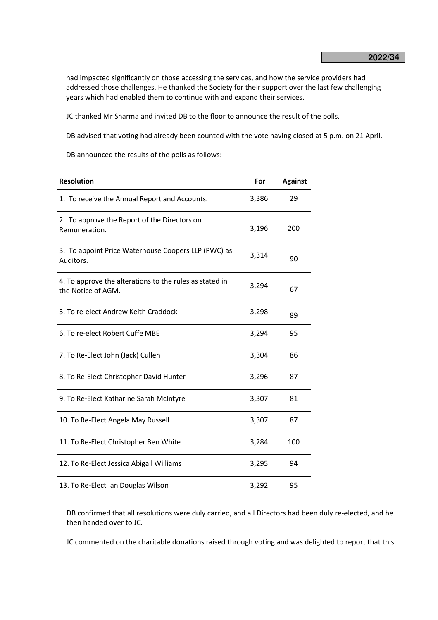had impacted significantly on those accessing the services, and how the service providers had addressed those challenges. He thanked the Society for their support over the last few challenging years which had enabled them to continue with and expand their services.

JC thanked Mr Sharma and invited DB to the floor to announce the result of the polls.

DB advised that voting had already been counted with the vote having closed at 5 p.m. on 21 April.

DB announced the results of the polls as follows: -

| <b>Resolution</b>                                                             | For   | <b>Against</b> |
|-------------------------------------------------------------------------------|-------|----------------|
| 1. To receive the Annual Report and Accounts.                                 | 3,386 | 29             |
| 2. To approve the Report of the Directors on<br>Remuneration.                 | 3,196 | 200            |
| 3. To appoint Price Waterhouse Coopers LLP (PWC) as<br>Auditors.              | 3,314 | 90             |
| 4. To approve the alterations to the rules as stated in<br>the Notice of AGM. | 3,294 | 67             |
| 5. To re-elect Andrew Keith Craddock                                          | 3,298 | 89             |
| 6. To re-elect Robert Cuffe MBE                                               | 3,294 | 95             |
| 7. To Re-Elect John (Jack) Cullen                                             | 3,304 | 86             |
| 8. To Re-Elect Christopher David Hunter                                       | 3,296 | 87             |
| 9. To Re-Elect Katharine Sarah McIntyre                                       | 3,307 | 81             |
| 10. To Re-Elect Angela May Russell                                            | 3,307 | 87             |
| 11. To Re-Elect Christopher Ben White                                         | 3,284 | 100            |
| 12. To Re-Elect Jessica Abigail Williams                                      | 3,295 | 94             |
| 13. To Re-Elect Ian Douglas Wilson                                            | 3,292 | 95             |

DB confirmed that all resolutions were duly carried, and all Directors had been duly re-elected, and he then handed over to JC.

JC commented on the charitable donations raised through voting and was delighted to report that this